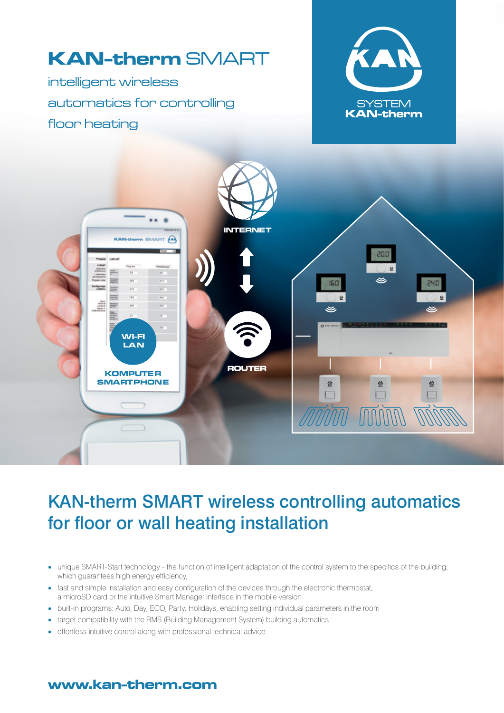

# KAN-therm SMART wireless controlling automatics for floor or wall heating installation

- unique SMART-Start technology the function of intelligent adaptation of the control system to the specifics of the building, which guarantees high energy efficiency,
- fast and simple installation and easy configuration of the devices through the electronic thermostat, a microSD card or the intuitive Smart Manager interface in the mobile version
- built-in programs: Auto, Day, ECO, Party, Holidays, enabling setting individual parameters in the room
- target compatibility with the BMS (Building Management System) building automatics
- effortless intuitive control along with professional technical advice

### www.kan-therm.com